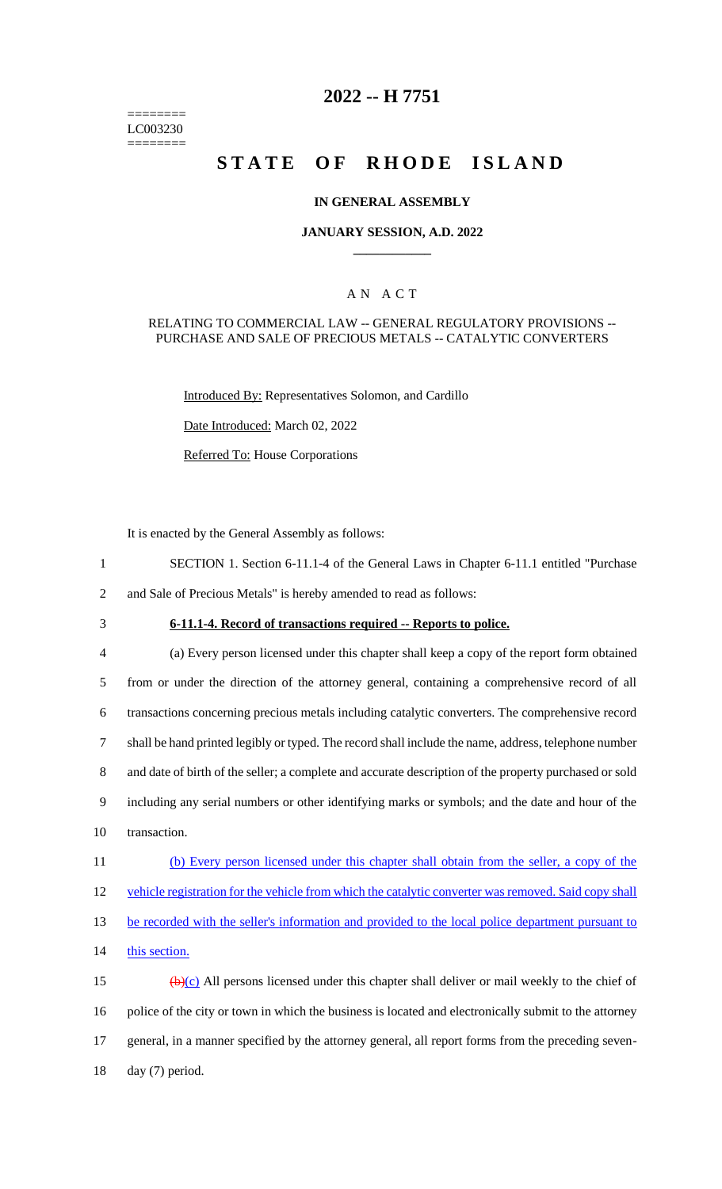======== LC003230 ========

## **2022 -- H 7751**

# **STATE OF RHODE ISLAND**

### **IN GENERAL ASSEMBLY**

### **JANUARY SESSION, A.D. 2022 \_\_\_\_\_\_\_\_\_\_\_\_**

### A N A C T

#### RELATING TO COMMERCIAL LAW -- GENERAL REGULATORY PROVISIONS -- PURCHASE AND SALE OF PRECIOUS METALS -- CATALYTIC CONVERTERS

Introduced By: Representatives Solomon, and Cardillo

Date Introduced: March 02, 2022

Referred To: House Corporations

It is enacted by the General Assembly as follows:

- 1 SECTION 1. Section 6-11.1-4 of the General Laws in Chapter 6-11.1 entitled "Purchase
- 2 and Sale of Precious Metals" is hereby amended to read as follows:
- 

## 3 **6-11.1-4. Record of transactions required -- Reports to police.**

 (a) Every person licensed under this chapter shall keep a copy of the report form obtained from or under the direction of the attorney general, containing a comprehensive record of all transactions concerning precious metals including catalytic converters. The comprehensive record shall be hand printed legibly or typed. The record shall include the name, address, telephone number and date of birth of the seller; a complete and accurate description of the property purchased or sold including any serial numbers or other identifying marks or symbols; and the date and hour of the transaction. (b) Every person licensed under this chapter shall obtain from the seller, a copy of the 12 vehicle registration for the vehicle from which the catalytic converter was removed. Said copy shall

13 be recorded with the seller's information and provided to the local police department pursuant to

14 this section.

 $\left(\frac{b}{c}\right)$  All persons licensed under this chapter shall deliver or mail weekly to the chief of police of the city or town in which the business is located and electronically submit to the attorney general, in a manner specified by the attorney general, all report forms from the preceding seven-day (7) period.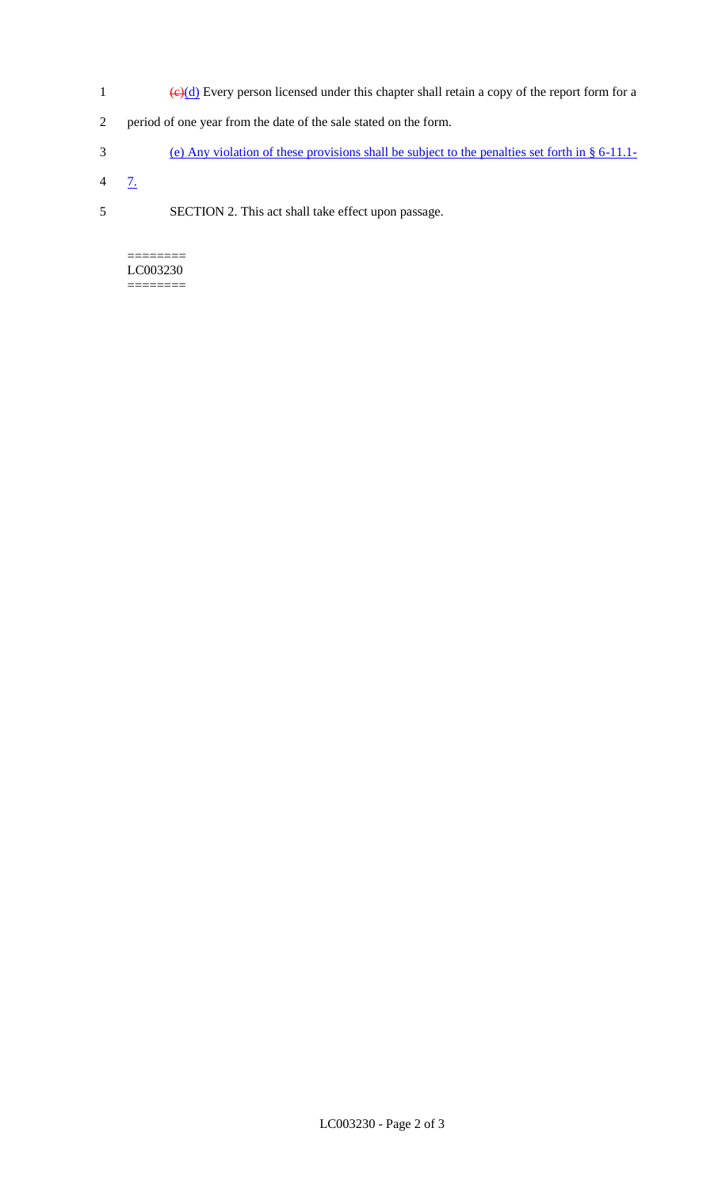- 1 ( $\Theta(d)$  Every person licensed under this chapter shall retain a copy of the report form for a
- 2 period of one year from the date of the sale stated on the form.
- 3 (e) Any violation of these provisions shall be subject to the penalties set forth in § 6-11.1-
- $4 \frac{7}{2}$
- 5 SECTION 2. This act shall take effect upon passage.

======== LC003230 ========